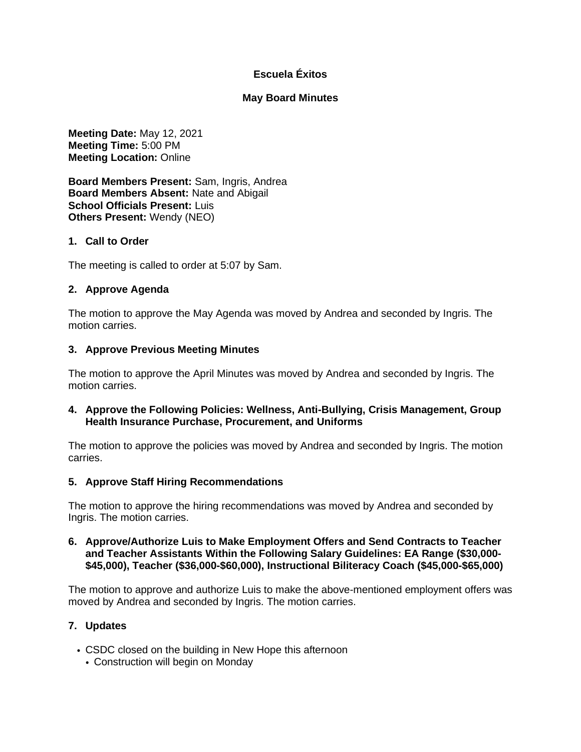# **Escuela Éxitos**

## **May Board Minutes**

**Meeting Date:** May 12, 2021 **Meeting Time:** 5:00 PM **Meeting Location:** Online

**Board Members Present:** Sam, Ingris, Andrea **Board Members Absent:** Nate and Abigail **School Officials Present:** Luis **Others Present:** Wendy (NEO)

## **1. Call to Order**

The meeting is called to order at 5:07 by Sam.

## **2. Approve Agenda**

The motion to approve the May Agenda was moved by Andrea and seconded by Ingris. The motion carries.

### **3. Approve Previous Meeting Minutes**

The motion to approve the April Minutes was moved by Andrea and seconded by Ingris. The motion carries.

### **4. Approve the Following Policies: Wellness, Anti-Bullying, Crisis Management, Group Health Insurance Purchase, Procurement, and Uniforms**

The motion to approve the policies was moved by Andrea and seconded by Ingris. The motion carries.

#### **5. Approve Staff Hiring Recommendations**

The motion to approve the hiring recommendations was moved by Andrea and seconded by Ingris. The motion carries.

### **6. Approve/Authorize Luis to Make Employment Offers and Send Contracts to Teacher and Teacher Assistants Within the Following Salary Guidelines: EA Range (\$30,000- \$45,000), Teacher (\$36,000-\$60,000), Instructional Biliteracy Coach (\$45,000-\$65,000)**

The motion to approve and authorize Luis to make the above-mentioned employment offers was moved by Andrea and seconded by Ingris. The motion carries.

## **7. Updates**

- CSDC closed on the building in New Hope this afternoon
	- Construction will begin on Monday